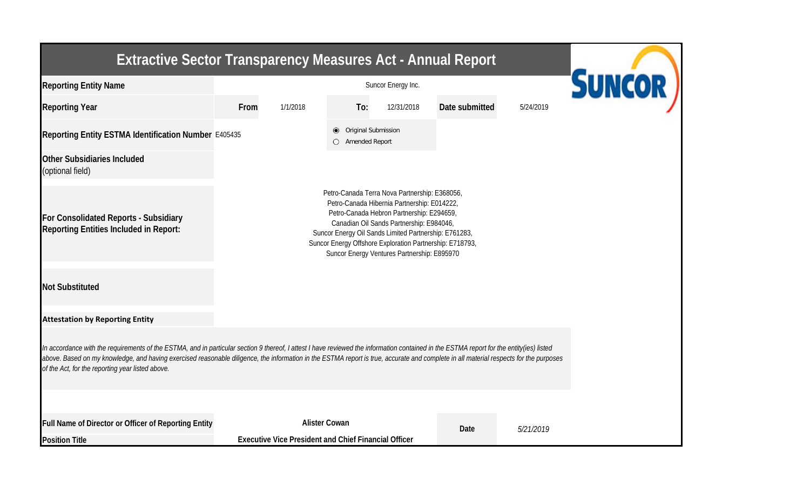| <b>Extractive Sector Transparency Measures Act - Annual Report</b>                                                                                                                                                                                                                                                                                                                                                                    |      |                                                                                     |     |            |                |           |  |
|---------------------------------------------------------------------------------------------------------------------------------------------------------------------------------------------------------------------------------------------------------------------------------------------------------------------------------------------------------------------------------------------------------------------------------------|------|-------------------------------------------------------------------------------------|-----|------------|----------------|-----------|--|
| <b>Reporting Entity Name</b>                                                                                                                                                                                                                                                                                                                                                                                                          |      | <b>SUNCOR</b>                                                                       |     |            |                |           |  |
| <b>Reporting Year</b>                                                                                                                                                                                                                                                                                                                                                                                                                 | From | 1/1/2018                                                                            | To: | 12/31/2018 | Date submitted | 5/24/2019 |  |
| Reporting Entity ESTMA Identification Number E405435                                                                                                                                                                                                                                                                                                                                                                                  |      | Original Submission<br>O Amended Report                                             |     |            |                |           |  |
| Other Subsidiaries Included<br>(optional field)                                                                                                                                                                                                                                                                                                                                                                                       |      |                                                                                     |     |            |                |           |  |
| For Consolidated Reports - Subsidiary<br><b>Reporting Entities Included in Report:</b>                                                                                                                                                                                                                                                                                                                                                |      |                                                                                     |     |            |                |           |  |
| <b>Not Substituted</b>                                                                                                                                                                                                                                                                                                                                                                                                                |      |                                                                                     |     |            |                |           |  |
| <b>Attestation by Reporting Entity</b>                                                                                                                                                                                                                                                                                                                                                                                                |      |                                                                                     |     |            |                |           |  |
| In accordance with the requirements of the ESTMA, and in particular section 9 thereof, I attest I have reviewed the information contained in the ESTMA report for the entity(ies) listed<br>above. Based on my knowledge, and having exercised reasonable diligence, the information in the ESTMA report is true, accurate and complete in all material respects for the purposes<br>of the Act, for the reporting year listed above. |      |                                                                                     |     |            |                |           |  |
| Full Name of Director or Officer of Reporting Entity<br><b>Position Title</b>                                                                                                                                                                                                                                                                                                                                                         |      | <b>Alister Cowan</b><br><b>Executive Vice President and Chief Financial Officer</b> |     |            | Date           | 5/21/2019 |  |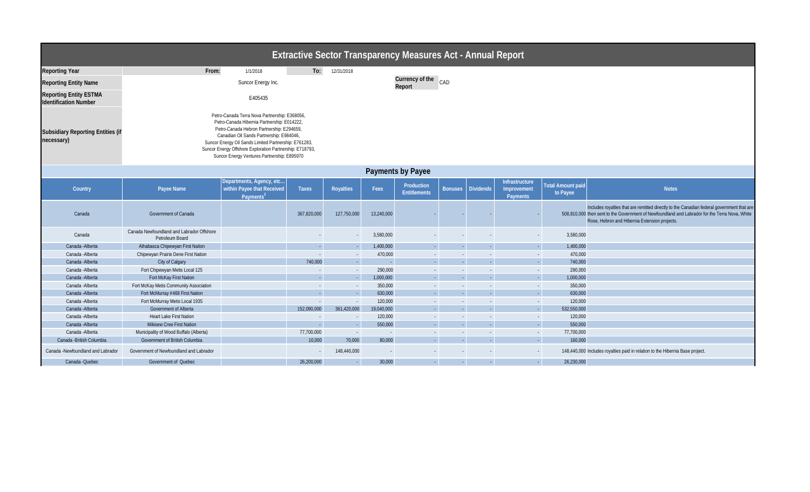| <b>Extractive Sector Transparency Measures Act - Annual Report</b> |                                                                                                                                                                                                                                                                                                                                                           |                                                                                 |              |                  |                                  |                                   |                |                     |                                                  |                                      |                                                                                                                                                                                                                                              |  |
|--------------------------------------------------------------------|-----------------------------------------------------------------------------------------------------------------------------------------------------------------------------------------------------------------------------------------------------------------------------------------------------------------------------------------------------------|---------------------------------------------------------------------------------|--------------|------------------|----------------------------------|-----------------------------------|----------------|---------------------|--------------------------------------------------|--------------------------------------|----------------------------------------------------------------------------------------------------------------------------------------------------------------------------------------------------------------------------------------------|--|
| <b>Reporting Year</b>                                              | From:                                                                                                                                                                                                                                                                                                                                                     | 1/1/2018                                                                        | To:          | 12/31/2018       |                                  |                                   |                |                     |                                                  |                                      |                                                                                                                                                                                                                                              |  |
| <b>Reporting Entity Name</b>                                       |                                                                                                                                                                                                                                                                                                                                                           | Suncor Energy Inc.                                                              |              |                  | Currency of the<br>CAD<br>Report |                                   |                |                     |                                                  |                                      |                                                                                                                                                                                                                                              |  |
| <b>Reporting Entity ESTMA</b><br><b>Identification Number</b>      |                                                                                                                                                                                                                                                                                                                                                           | E405435                                                                         |              |                  |                                  |                                   |                |                     |                                                  |                                      |                                                                                                                                                                                                                                              |  |
| <b>Subsidiary Reporting Entities (if</b><br>necessary)             | Petro-Canada Terra Nova Partnership: E368056,<br>Petro-Canada Hibernia Partnership: E014222,<br>Petro-Canada Hebron Partnership: E294659,<br>Canadian Oil Sands Partnership: E984046,<br>Suncor Energy Oil Sands Limited Partnership: E761283,<br>Suncor Energy Offshore Exploration Partnership: E718793,<br>Suncor Energy Ventures Partnership: E895970 |                                                                                 |              |                  |                                  |                                   |                |                     |                                                  |                                      |                                                                                                                                                                                                                                              |  |
|                                                                    |                                                                                                                                                                                                                                                                                                                                                           |                                                                                 |              |                  |                                  | <b>Payments by Payee</b>          |                |                     |                                                  |                                      |                                                                                                                                                                                                                                              |  |
| Country                                                            | Payee Name                                                                                                                                                                                                                                                                                                                                                | Departments, Agency, etc<br>within Payee that Received<br>Payments <sup>2</sup> | <b>Taxes</b> | <b>Royalties</b> | Fees                             | Production<br><b>Entitlements</b> |                | Bonuses   Dividends | Infrastructure<br>Improvement<br><b>Payments</b> | <b>Total Amount paid</b><br>to Payee | <b>Notes</b>                                                                                                                                                                                                                                 |  |
| Canada                                                             | Government of Canada                                                                                                                                                                                                                                                                                                                                      |                                                                                 | 367,820,000  | 127,750,000      | 13,240,000                       |                                   |                |                     |                                                  |                                      | Includes royalties that are remitted directly to the Canadian federal government that are<br>508,810,000 then sent to the Government of Newfoundland and Labrador for the Terra Nova, White<br>Rose, Hebron and Hibernia Extension projects. |  |
| Canada                                                             | Canada Newfoundland and Labrador Offshore<br>Petroleum Board                                                                                                                                                                                                                                                                                              |                                                                                 |              |                  | 3,580,000                        |                                   |                |                     |                                                  | 3,580,000                            |                                                                                                                                                                                                                                              |  |
| Canada - Alberta                                                   | Athabasca Chipewyan First Nation                                                                                                                                                                                                                                                                                                                          |                                                                                 |              | $\sim$           | 1,400,000                        |                                   | $\sim$         | $\sim$              | $\sim$                                           | 1,400,000                            |                                                                                                                                                                                                                                              |  |
| Canada - Alberta                                                   | Chipewyan Prairie Dene First Nation                                                                                                                                                                                                                                                                                                                       |                                                                                 |              |                  | 470,000                          |                                   |                | $\sim$              |                                                  | 470,000<br>$\sim$                    |                                                                                                                                                                                                                                              |  |
| Canada - Alberta                                                   | City of Calgary                                                                                                                                                                                                                                                                                                                                           |                                                                                 | 740,000      |                  | $\sim$ $-$                       |                                   | $\sim$         | $\sim$              | $\sim$                                           | 740,000                              |                                                                                                                                                                                                                                              |  |
| Canada - Alberta                                                   | Fort Chipewyan Metis Local 125                                                                                                                                                                                                                                                                                                                            |                                                                                 |              |                  | 290,000                          |                                   |                |                     | $\sim$                                           | 290,000                              |                                                                                                                                                                                                                                              |  |
| Canada - Alberta                                                   | Fort McKay First Nation                                                                                                                                                                                                                                                                                                                                   |                                                                                 |              |                  | 1,000,000                        |                                   |                |                     |                                                  | 1,000,000                            |                                                                                                                                                                                                                                              |  |
| Canada - Alberta                                                   | Fort McKay Metis Community Association                                                                                                                                                                                                                                                                                                                    |                                                                                 |              |                  | 350,000                          |                                   |                |                     | $\sim$                                           | 350,000                              |                                                                                                                                                                                                                                              |  |
| Canada - Alberta                                                   | Fort McMurray #468 First Nation                                                                                                                                                                                                                                                                                                                           |                                                                                 |              | $\sim$           | 630,000                          | $\sim$                            | $\sim$         | $\sim$              |                                                  | 630,000<br>$\sim$ 1                  |                                                                                                                                                                                                                                              |  |
| Canada - Alberta                                                   | Fort McMurray Metis Local 1935                                                                                                                                                                                                                                                                                                                            |                                                                                 |              | $\sim$           | 120,000                          |                                   |                |                     | $\sim$                                           | 120,000                              |                                                                                                                                                                                                                                              |  |
| Canada - Alberta                                                   | Government of Alberta                                                                                                                                                                                                                                                                                                                                     |                                                                                 | 152,090,000  | 361,420,000      | 19,040,000                       | $\sim$                            | $\sim$         | $\sim$              |                                                  | 532,550,000<br>$\sim$ .              |                                                                                                                                                                                                                                              |  |
| Canada - Alberta                                                   | <b>Heart Lake First Nation</b>                                                                                                                                                                                                                                                                                                                            |                                                                                 |              | $\sim$           | 120,000                          |                                   |                |                     | $\sim$                                           | 120,000                              |                                                                                                                                                                                                                                              |  |
| Canada - Alberta                                                   | Mikisew Cree First Nation                                                                                                                                                                                                                                                                                                                                 |                                                                                 |              | $\sim$           | 550,000                          |                                   | $\sim$         | $\sim$              |                                                  | 550,000<br>ie i                      |                                                                                                                                                                                                                                              |  |
| Canada - Alberta                                                   | Municipality of Wood Buffalo (Alberta)                                                                                                                                                                                                                                                                                                                    |                                                                                 | 77,700,000   | $\sim$           | $\sim 10^{-1}$                   |                                   |                |                     | $\sim$                                           | 77,700,000                           |                                                                                                                                                                                                                                              |  |
| Canada - British Columbia                                          | Government of British Columbia                                                                                                                                                                                                                                                                                                                            |                                                                                 | 10,000       | 70,000           | 80,000                           |                                   | $\sim$ $ \sim$ | $\sim$              |                                                  | 160,000<br>ie i                      |                                                                                                                                                                                                                                              |  |
| Canada -Newfoundland and Labrador                                  | Government of Newfoundland and Labrador                                                                                                                                                                                                                                                                                                                   |                                                                                 |              | 148,440,000      |                                  |                                   |                |                     |                                                  |                                      | 148,440,000 Includes royalties paid in relation to the Hibernia Base project.                                                                                                                                                                |  |
| Canada - Quebec                                                    | Government of Quebec                                                                                                                                                                                                                                                                                                                                      |                                                                                 | 26,200,000   | $\sim$           | 30,000                           | $\sim$ 10 $\pm$                   |                | $\sim$              |                                                  | 26,230,000<br>$\sim$ .               |                                                                                                                                                                                                                                              |  |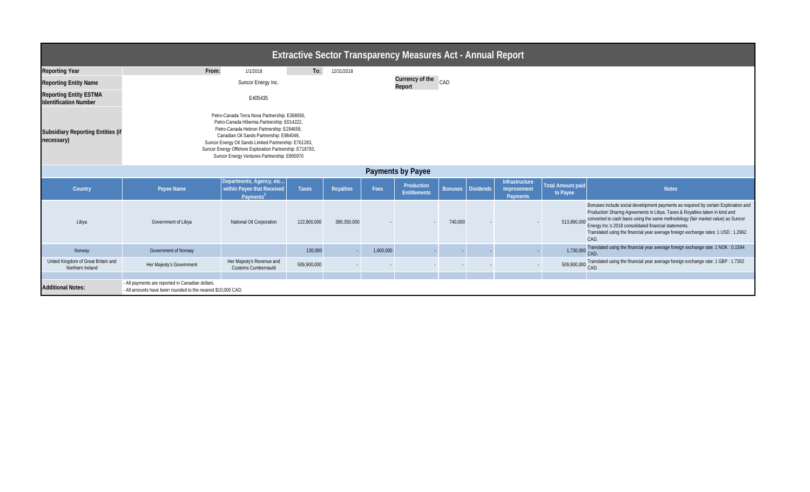| <b>Extractive Sector Transparency Measures Act - Annual Report</b> |                                                                                                                                                                                                                                                                                                                                                           |                                                                                 |              |                  |           |                                   |         |                     |                                           |                                      |                                                                                                                                                                                                                                                                                                                                                                                                                          |  |
|--------------------------------------------------------------------|-----------------------------------------------------------------------------------------------------------------------------------------------------------------------------------------------------------------------------------------------------------------------------------------------------------------------------------------------------------|---------------------------------------------------------------------------------|--------------|------------------|-----------|-----------------------------------|---------|---------------------|-------------------------------------------|--------------------------------------|--------------------------------------------------------------------------------------------------------------------------------------------------------------------------------------------------------------------------------------------------------------------------------------------------------------------------------------------------------------------------------------------------------------------------|--|
| <b>Reporting Year</b>                                              | From:                                                                                                                                                                                                                                                                                                                                                     | 1/1/2018                                                                        | To:          | 12/31/2018       |           |                                   |         |                     |                                           |                                      |                                                                                                                                                                                                                                                                                                                                                                                                                          |  |
| <b>Reporting Entity Name</b>                                       |                                                                                                                                                                                                                                                                                                                                                           | Suncor Energy Inc.                                                              |              |                  |           | Currency of the CAD<br>Report     |         |                     |                                           |                                      |                                                                                                                                                                                                                                                                                                                                                                                                                          |  |
| <b>Reporting Entity ESTMA</b><br><b>Identification Number</b>      |                                                                                                                                                                                                                                                                                                                                                           | E405435                                                                         |              |                  |           |                                   |         |                     |                                           |                                      |                                                                                                                                                                                                                                                                                                                                                                                                                          |  |
| <b>Subsidiary Reporting Entities (if</b><br>necessary)             | Petro-Canada Terra Nova Partnership: E368056,<br>Petro-Canada Hibernia Partnership: E014222,<br>Petro-Canada Hebron Partnership: E294659,<br>Canadian Oil Sands Partnership: E984046,<br>Suncor Energy Oil Sands Limited Partnership: E761283,<br>Suncor Energy Offshore Exploration Partnership: E718793,<br>Suncor Energy Ventures Partnership: E895970 |                                                                                 |              |                  |           |                                   |         |                     |                                           |                                      |                                                                                                                                                                                                                                                                                                                                                                                                                          |  |
| <b>Payments by Payee</b>                                           |                                                                                                                                                                                                                                                                                                                                                           |                                                                                 |              |                  |           |                                   |         |                     |                                           |                                      |                                                                                                                                                                                                                                                                                                                                                                                                                          |  |
| Country                                                            | Payee Name                                                                                                                                                                                                                                                                                                                                                | Departments, Agency, etc<br>within Payee that Received<br>Payments <sup>2</sup> | <b>Taxes</b> | <b>Royalties</b> | Fees      | Production<br><b>Entitlements</b> |         | Bonuses   Dividends | Infrastructure<br>Improvement<br>Payments | <b>Total Amount paid</b><br>to Payee | <b>Notes</b>                                                                                                                                                                                                                                                                                                                                                                                                             |  |
| Libya                                                              | Government of Libya                                                                                                                                                                                                                                                                                                                                       | <b>National Oil Corporation</b>                                                 | 122,800,000  | 390,350,000      |           |                                   | 740,000 |                     |                                           |                                      | Bonuses include social development payments as required by certain Exploration and<br>Production Sharing Agreements in Libya. Taxes & Royalties taken in kind and<br>513,890,000 converted to cash basis using the same methodology (fair market value) as Suncor<br>Energy Inc.'s 2018 consolidated financial statements.<br>Translated using the financial year average foreign exchange rates: 1 USD : 1.2962<br>CAD. |  |
| Norway                                                             | <b>Government of Norway</b>                                                                                                                                                                                                                                                                                                                               |                                                                                 | 130,000      |                  | 1,600,000 |                                   |         |                     |                                           | 1,730,000                            | Translated using the financial year average foreign exchange rate: 1 NOK : 0.1594                                                                                                                                                                                                                                                                                                                                        |  |
| United Kingdom of Great Britain and<br>Northern Ireland            | Her Majesty's Government                                                                                                                                                                                                                                                                                                                                  | Her Majesty's Revenue and<br>Customs Cumbernauld                                | 509,900,000  |                  |           |                                   |         |                     |                                           |                                      | 509,900,000 Translated using the financial year average foreign exchange rate: 1 GBP : 1.7302<br>CAD                                                                                                                                                                                                                                                                                                                     |  |
|                                                                    |                                                                                                                                                                                                                                                                                                                                                           |                                                                                 |              |                  |           |                                   |         |                     |                                           |                                      |                                                                                                                                                                                                                                                                                                                                                                                                                          |  |
| <b>Additional Notes:</b>                                           | - All payments are reported in Canadian dollars.<br>- All amounts have been rounded to the nearest \$10,000 CAD.                                                                                                                                                                                                                                          |                                                                                 |              |                  |           |                                   |         |                     |                                           |                                      |                                                                                                                                                                                                                                                                                                                                                                                                                          |  |